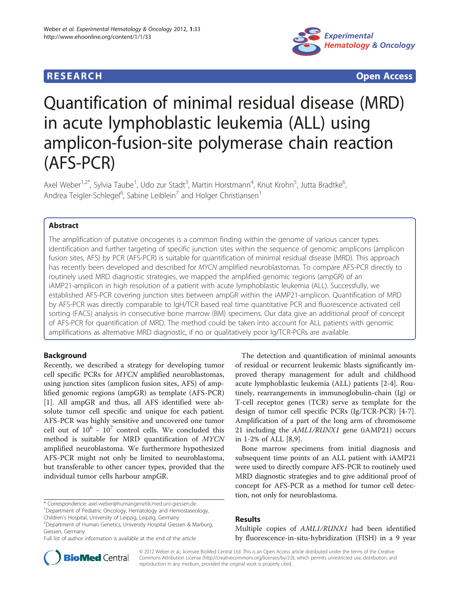## **RESEARCH RESEARCH** *CHECKER CHECKER CHECKER CHECKER CHECKER CHECKER CHECKER CHECKER CHECKER CHECKER CHECKER*



# Quantification of minimal residual disease (MRD) in acute lymphoblastic leukemia (ALL) using amplicon-fusion-site polymerase chain reaction (AFS-PCR)

Axel Weber<sup>1,2\*</sup>, Sylvia Taube<sup>1</sup>, Udo zur Stadt<sup>3</sup>, Martin Horstmann<sup>4</sup>, Knut Krohn<sup>5</sup>, Jutta Bradtke<sup>6</sup> , Andrea Teigler-Schlegel<sup>6</sup>, Sabine Leiblein<sup>7</sup> and Holger Christiansen<sup>1</sup>

## Abstract

The amplification of putative oncogenes is a common finding within the genome of various cancer types. Identification and further targeting of specific junction sites within the sequence of genomic amplicons (amplicon fusion sites, AFS) by PCR (AFS-PCR) is suitable for quantification of minimal residual disease (MRD). This approach has recently been developed and described for MYCN amplified neuroblastomas. To compare AFS-PCR directly to routinely used MRD diagnostic strategies, we mapped the amplified genomic regions (ampGR) of an iAMP21-amplicon in high resolution of a patient with acute lymphoblastic leukemia (ALL). Successfully, we established AFS-PCR covering junction sites between ampGR within the iAMP21-amplicon. Quantification of MRD by AFS-PCR was directly comparable to IgH/TCR based real time quantitative PCR and fluorescence activated cell sorting (FACS) analysis in consecutive bone marrow (BM) specimens. Our data give an additional proof of concept of AFS-PCR for quantification of MRD. The method could be taken into account for ALL patients with genomic amplifications as alternative MRD diagnostic, if no or qualitatively poor Ig/TCR-PCRs are available.

## Background

Recently, we described a strategy for developing tumor cell specific PCRs for MYCN amplified neuroblastomas, using junction sites (amplicon fusion sites, AFS) of amplified genomic regions (ampGR) as template (AFS-PCR) [[1\]](#page-6-0). All ampGR and thus, all AFS identified were absolute tumor cell specific and unique for each patient. AFS-PCR was highly sensitive and uncovered one tumor cell out of  $10^6$  -  $10^7$  control cells. We concluded this method is suitable for MRD quantification of MYCN amplified neuroblastoma. We furthermore hypothesized AFS-PCR might not only be limited to neuroblastoma, but transferable to other cancer types, provided that the individual tumor cells harbour ampGR.

\* Correspondence: [axel.weber@humangenetik.med.uni-giessen.de](mailto:axel.weber@humangenetik.med.uni-giessen.de) <sup>1</sup> <sup>1</sup>Department of Pediatric Oncology, Hematology and Hemostaseology,

Children's Hospital, University of Leipzig, Leipzig, Germany <sup>2</sup>

 $2$ Department of Human Genetics, University Hospital Giessen & Marburg, Giessen, Germany

The detection and quantification of minimal amounts of residual or recurrent leukemic blasts significantly improved therapy management for adult and childhood acute lymphoblastic leukemia (ALL) patients [\[2](#page-6-0)-[4\]](#page-6-0). Routinely, rearrangements in immunoglobulin-chain (Ig) or T-cell receptor genes (TCR) serve as template for the design of tumor cell specific PCRs (Ig/TCR-PCR) [[4-7](#page-6-0)]. Amplification of a part of the long arm of chromosome 21 including the AML1/RUNX1 gene (iAMP21) occurs in 1-2% of ALL [[8,9\]](#page-7-0).

Bone marrow specimens from initial diagnosis and subsequent time points of an ALL patient with iAMP21 were used to directly compare AFS-PCR to routinely used MRD diagnostic strategies and to give additional proof of concept for AFS-PCR as a method for tumor cell detection, not only for neuroblastoma.

## Results

Multiple copies of AML1/RUNX1 had been identified by fluorescence-in-situ-hybridization (FISH) in a 9 year



© 2012 Weber et al.; licensee BioMed Central Ltd. This is an Open Access article distributed under the terms of the Creative Commons Attribution License [\(http://creativecommons.org/licenses/by/2.0\)](http://creativecommons.org/licenses/by/2.0), which permits unrestricted use, distribution, and reproduction in any medium, provided the original work is properly cited.

Full list of author information is available at the end of the article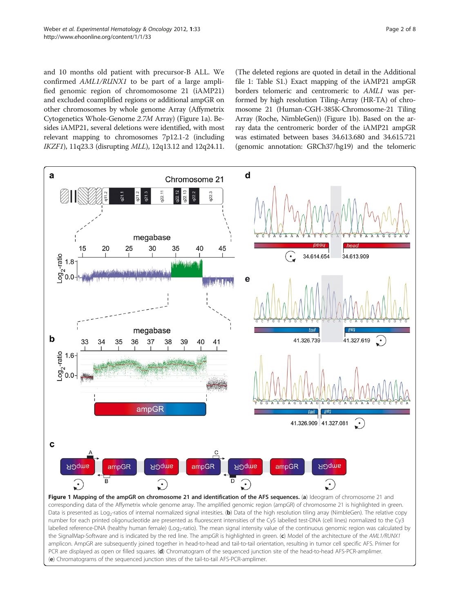<span id="page-1-0"></span>and 10 months old patient with precursor-B ALL. We confirmed AML1/RUNX1 to be part of a large amplified genomic region of chromomosome 21 (iAMP21) and excluded coamplified regions or additional ampGR on other chromosomes by whole genome Array (Affymetrix Cytogenetics Whole-Genome 2.7M Array) (Figure 1a). Besides iAMP21, several deletions were identified, with most relevant mapping to chromosomes 7p12.1-2 (including IKZF1), 11q23.3 (disrupting MLL), 12q13.12 and 12q24.11.

(The deleted regions are quoted in detail in the Additional file [1:](#page-6-0) Table S1.) Exact mapping of the iAMP21 ampGR borders telomeric and centromeric to AML1 was performed by high resolution Tiling-Array (HR-TA) of chromosome 21 (Human-CGH-385K-Chromosome-21 Tiling Array (Roche, NimbleGen)) (Figure 1b). Based on the array data the centromeric border of the iAMP21 ampGR was estimated between bases 34.613.680 and 34.615.721 (genomic annotation: GRCh37/hg19) and the telomeric



the SignalMap-Software and is indicated by the red line. The ampGR is highlighted in green. (c) Model of the architecture of the AML1/RUNX1 amplicon. AmpGR are subsequently joined together in head-to-head and tail-to-tail orientation, resulting in tumor cell specific AFS. Primer for PCR are displayed as open or filled squares. (d) Chromatogram of the sequenced junction site of the head-to-head AFS-PCR-amplimer. (e) Chromatograms of the sequenced junction sites of the tail-to-tail AFS-PCR-amplimer.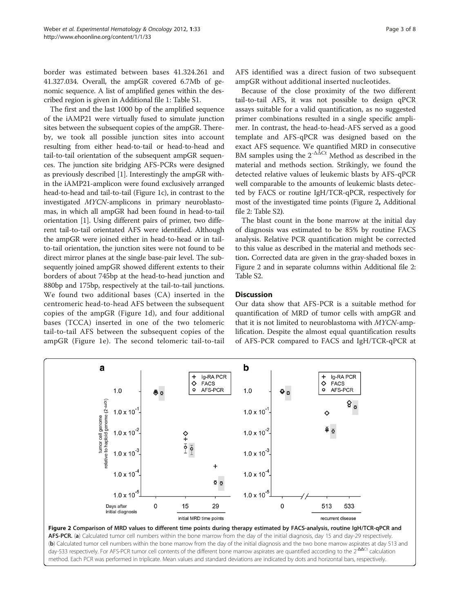<span id="page-2-0"></span>border was estimated between bases 41.324.261 and 41.327.034. Overall, the ampGR covered 6.7Mb of genomic sequence. A list of amplified genes within the described region is given in Additional file [1:](#page-6-0) Table S1.

The first and the last 1000 bp of the amplified sequence of the iAMP21 were virtually fused to simulate junction sites between the subsequent copies of the ampGR. Thereby, we took all possible junction sites into account resulting from either head-to-tail or head-to-head and tail-to-tail orientation of the subsequent ampGR sequences. The junction site bridging AFS-PCRs were designed as previously described [\[1\]](#page-6-0). Interestingly the ampGR within the iAMP21-amplicon were found exclusively arranged head-to-head and tail-to-tail (Figure [1c](#page-1-0)), in contrast to the investigated MYCN-amplicons in primary neuroblastomas, in which all ampGR had been found in head-to-tail orientation [\[1](#page-6-0)]. Using different pairs of primer, two different tail-to-tail orientated AFS were identified. Although the ampGR were joined either in head-to-head or in tailto-tail orientation, the junction sites were not found to be direct mirror planes at the single base-pair level. The subsequently joined ampGR showed different extents to their borders of about 745bp at the head-to-head junction and 880bp and 175bp, respectively at the tail-to-tail junctions. We found two additional bases (CA) inserted in the centromeric head-to-head AFS between the subsequent copies of the ampGR (Figure [1](#page-1-0)d), and four additional bases (TCCA) inserted in one of the two telomeric tail-to-tail AFS between the subsequent copies of the ampGR (Figure [1](#page-1-0)e). The second telomeric tail-to-tail AFS identified was a direct fusion of two subsequent ampGR without additional inserted nucleotides.

Because of the close proximity of the two different tail-to-tail AFS, it was not possible to design qPCR assays suitable for a valid quantification, as no suggested primer combinations resulted in a single specific amplimer. In contrast, the head-to-head-AFS served as a good template and AFS-qPCR was designed based on the exact AFS sequence. We quantified MRD in consecutive BM samples using the  $2^{-\Delta \Delta Ct}$  Method as described in the material and methods section. Strikingly, we found the detected relative values of leukemic blasts by AFS-qPCR well comparable to the amounts of leukemic blasts detected by FACS or routine IgH/TCR-qPCR, respectively for most of the investigated time points (Figure 2, Additional file [2](#page-6-0): Table S2).

The blast count in the bone marrow at the initial day of diagnosis was estimated to be 85% by routine FACS analysis. Relative PCR quantification might be corrected to this value as described in the material and methods section. Corrected data are given in the gray-shaded boxes in Figure 2 and in separate columns within Additional file [2](#page-6-0): Table S2.

#### **Discussion**

Our data show that AFS-PCR is a suitable method for quantification of MRD of tumor cells with ampGR and that it is not limited to neuroblastoma with MYCN-amplification. Despite the almost equal quantification results of AFS-PCR compared to FACS and IgH/TCR-qPCR at



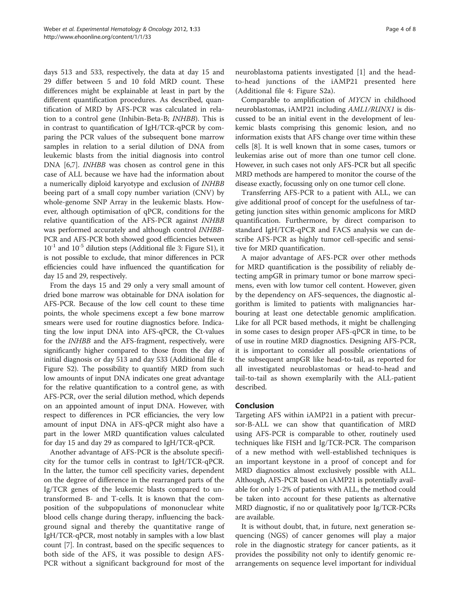days 513 and 533, respectively, the data at day 15 and 29 differ between 5 and 10 fold MRD count. These differences might be explainable at least in part by the different quantification procedures. As described, quantification of MRD by AFS-PCR was calculated in relation to a control gene (Inhibin-Beta-B; INHBB). This is in contrast to quantification of IgH/TCR-qPCR by comparing the PCR values of the subsequent bone marrow samples in relation to a serial dilution of DNA from leukemic blasts from the initial diagnosis into control DNA [[6,7\]](#page-6-0). *INHBB* was chosen as control gene in this case of ALL because we have had the information about a numerically diploid karyotype and exclusion of INHBB beeing part of a small copy number variation (CNV) by whole-genome SNP Array in the leukemic blasts. However, although optimisation of qPCR, conditions for the relative quantification of the AFS-PCR against INHBB was performed accurately and although control INHBB-PCR and AFS-PCR both showed good efficiencies between  $10^{-1}$  and  $10^{-5}$  dilution steps (Additional file [3:](#page-6-0) Figure S1), it is not possible to exclude, that minor differences in PCR efficiencies could have influenced the quantification for day 15 and 29, respectively.

From the days 15 and 29 only a very small amount of dried bone marrow was obtainable for DNA isolation for AFS-PCR. Because of the low cell count to these time points, the whole specimens except a few bone marrow smears were used for routine diagnostics before. Indicating the low input DNA into AFS-qPCR, the Ct-values for the INHBB and the AFS-fragment, respectively, were significantly higher compared to those from the day of initial diagnosis or day 513 and day 533 (Additional file [4](#page-6-0): Figure S2). The possibility to quantify MRD from such low amounts of input DNA indicates one great advantage for the relative quantification to a control gene, as with AFS-PCR, over the serial dilution method, which depends on an appointed amount of input DNA. However, with respect to differences in PCR efficiancies, the very low amount of input DNA in AFS-qPCR might also have a part in the lower MRD quantification values calculated for day 15 and day 29 as compared to IgH/TCR-qPCR.

Another advantage of AFS-PCR is the absolute specificity for the tumor cells in contrast to IgH/TCR-qPCR. In the latter, the tumor cell specificity varies, dependent on the degree of difference in the rearranged parts of the Ig/TCR genes of the leukemic blasts compared to untransformed B- and T-cells. It is known that the composition of the subpopulations of mononuclear white blood cells change during therapy, influencing the background signal and thereby the quantitative range of IgH/TCR-qPCR, most notably in samples with a low blast count [\[7\]](#page-6-0). In contrast, based on the specific sequences to both side of the AFS, it was possible to design AFS-PCR without a significant background for most of the

neuroblastoma patients investigated [\[1](#page-6-0)] and the headto-head junctions of the iAMP21 presented here (Additional file [4:](#page-6-0) Figure S2a).

Comparable to amplification of MYCN in childhood neuroblastomas, iAMP21 including AML1/RUNX1 is discussed to be an initial event in the development of leukemic blasts comprising this genomic lesion, and no information exists that AFS change over time within these cells [\[8\]](#page-7-0). It is well known that in some cases, tumors or leukemias arise out of more than one tumor cell clone. However, in such cases not only AFS-PCR but all specific MRD methods are hampered to monitor the course of the disease exactly, focussing only on one tumor cell clone.

Transferring AFS-PCR to a patient with ALL, we can give additional proof of concept for the usefulness of targeting junction sites within genomic amplicons for MRD quantification. Furthermore, by direct comparison to standard IgH/TCR-qPCR and FACS analysis we can describe AFS-PCR as highly tumor cell-specific and sensitive for MRD quantification.

A major advantage of AFS-PCR over other methods for MRD quantification is the possibility of reliably detecting ampGR in primary tumor or bone marrow specimens, even with low tumor cell content. However, given by the dependency on AFS-sequences, the diagnostic algorithm is limited to patients with malignancies harbouring at least one detectable genomic amplification. Like for all PCR based methods, it might be challenging in some cases to design proper AFS-qPCR in time, to be of use in routine MRD diagnostics. Designing AFS-PCR, it is important to consider all possible orientations of the subsequent ampGR like head-to-tail, as reported for all investigated neuroblastomas or head-to-head and tail-to-tail as shown exemplarily with the ALL-patient described.

#### Conclusion

Targeting AFS within iAMP21 in a patient with precursor-B-ALL we can show that quantification of MRD using AFS-PCR is comparable to other, routinely used techniques like FISH and Ig/TCR-PCR. The comparison of a new method with well-established techniques is an important keystone in a proof of concept and for MRD diagnostics almost exclusively possible with ALL. Although, AFS-PCR based on iAMP21 is potentially available for only 1-2% of patients with ALL, the method could be taken into account for these patients as alternative MRD diagnostic, if no or qualitatively poor Ig/TCR-PCRs are available.

It is without doubt, that, in future, next generation sequencing (NGS) of cancer genomes will play a major role in the diagnostic strategy for cancer patients, as it provides the possibility not only to identify genomic rearrangements on sequence level important for individual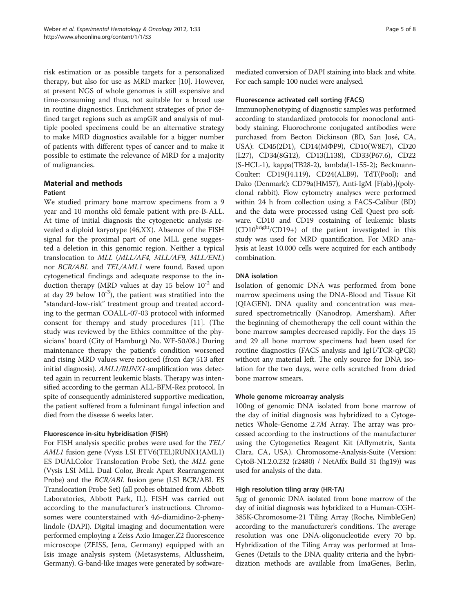risk estimation or as possible targets for a personalized therapy, but also for use as MRD marker [[10\]](#page-7-0). However, at present NGS of whole genomes is still expensive and time-consuming and thus, not suitable for a broad use in routine diagnostics. Enrichment strategies of prior defined target regions such as ampGR and analysis of multiple pooled specimens could be an alternative strategy to make MRD diagnostics available for a bigger number of patients with different types of cancer and to make it possible to estimate the relevance of MRD for a majority of malignancies.

## Material and methods

#### Patient

We studied primary bone marrow specimens from a 9 year and 10 months old female patient with pre-B-ALL. At time of initial diagnosis the cytogenetic analysis revealed a diploid karyotype (46,XX). Absence of the FISH signal for the proximal part of one MLL gene suggested a deletion in this genomic region. Neither a typical translocation to MLL (MLL/AF4, MLL/AF9, MLL/ENL) nor BCR/ABL and TEL/AML1 were found. Based upon cytogenetical findings and adequate response to the induction therapy (MRD values at day 15 below  $10^{-2}$  and at day 29 below  $10^{-3}$ ), the patient was stratified into the "standard-low-risk" treatment group and treated according to the german COALL-07-03 protocol with informed consent for therapy and study procedures [\[11](#page-7-0)]. (The study was reviewed by the Ethics committee of the physicians' board (City of Hamburg) No. WF-50/08.) During maintenance therapy the patient's condition worsened and rising MRD values were noticed (from day 513 after initial diagnosis). AML1/RUNX1-amplification was detected again in recurrent leukemic blasts. Therapy was intensified according to the german ALL-BFM-Rez protocol. In spite of consequently administered supportive medication, the patient suffered from a fulminant fungal infection and died from the disease 6 weeks later.

## Fluorescence in-situ hybridisation (FISH)

For FISH analysis specific probes were used for the TEL/ AML1 fusion gene (Vysis LSI ETV6(TEL)RUNX1(AML1) ES DUALColor Translocation Probe Set), the MLL gene (Vysis LSI MLL Dual Color, Break Apart Rearrangement Probe) and the BCR/ABL fusion gene (LSI BCR/ABL ES Translocation Probe Set) (all probes obtained from Abbott Laboratories, Abbott Park, IL). FISH was carried out according to the manufacturer's instructions. Chromosomes were counterstained with 4,6-diamidino-2-phenylindole (DAPI). Digital imaging and documentation were performed employing a Zeiss Axio Imager.Z2 fluorescence microscope (ZEISS, Jena, Germany) equipped with an Isis image analysis system (Metasystems, Altlussheim, Germany). G-band-like images were generated by softwaremediated conversion of DAPI staining into black and white. For each sample 100 nuclei were analysed.

#### Fluorescence activated cell sorting (FACS)

Immunophenotyping of diagnostic samples was performed according to standardized protocols for monoclonal antibody staining. Fluorochrome conjugated antibodies were purchased from Becton Dickinson (BD, San José, CA, USA): CD45(2D1), CD14(MΦP9), CD10(W8E7), CD20 (L27), CD34(8G12), CD13(L138), CD33(P67.6), CD22 (S-HCL-1), kappa(TB28-2), lambda(1-155-2); Beckmann-Coulter: CD19(J4.119), CD24(ALB9), TdT(Pool); and Dako (Denmark): CD79a(HM57), Anti-IgM  $[F(ab)_2](poly$ clonal rabbit). Flow cytometry analyses were performed within 24 h from collection using a FACS-Calibur (BD) and the data were processed using Cell Quest pro software. CD10 and CD19 costaining of leukemic blasts  $(CD10<sup>bright</sup>/CD19+)$  of the patient investigated in this study was used for MRD quantification. For MRD analysis at least 10.000 cells were acquired for each antibody combination.

#### DNA isolation

Isolation of genomic DNA was performed from bone marrow specimens using the DNA-Blood and Tissue Kit (QIAGEN). DNA quality and concentration was measured spectrometrically (Nanodrop, Amersham). After the beginning of chemotherapy the cell count within the bone marrow samples decreased rapidly. For the days 15 and 29 all bone marrow specimens had been used for routine diagnostics (FACS analysis and IgH/TCR-qPCR) without any material left. The only source for DNA isolation for the two days, were cells scratched from dried bone marrow smears.

#### Whole genome microarray analysis

100ng of genomic DNA isolated from bone marrow of the day of initial diagnosis was hybridized to a Cytogenetics Whole-Genome 2.7M Array. The array was processed according to the instructions of the manufacturer using the Cytogenetics Reagent Kit (Affymetrix, Santa Clara, CA, USA). Chromosome-Analysis-Suite (Version: CytoB-N1.2.0.232 (r2480) / NetAffx Build 31 (hg19)) was used for analysis of the data.

#### High resolution tiling array (HR-TA)

5μg of genomic DNA isolated from bone marrow of the day of initial diagnosis was hybridized to a Human-CGH-385K-Chromosome-21 Tiling Array (Roche, NimbleGen) according to the manufacturer's conditions. The average resolution was one DNA-oligonucleotide every 70 bp. Hybridization of the Tiling Array was performed at Ima-Genes (Details to the DNA quality criteria and the hybridization methods are available from ImaGenes, Berlin,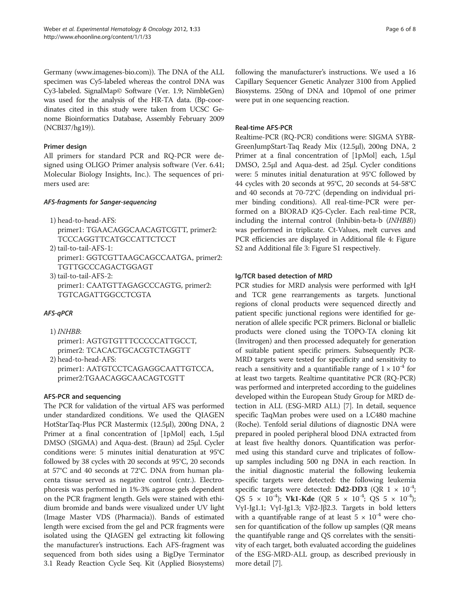Germany [\(www.imagenes-bio.com](http://www.imagenes-bio.com))). The DNA of the ALL specimen was Cy5-labeled whereas the control DNA was Cy3-labeled. SignalMap© Software (Ver. 1.9; NimbleGen) was used for the analysis of the HR-TA data. (Bp-coordinates cited in this study were taken from UCSC Genome Bioinformatics Database, Assembly February 2009 (NCBI37/hg19)).

## Primer design

All primers for standard PCR and RQ-PCR were designed using OLIGO Primer analysis software (Ver. 6.41; Molecular Biology Insights, Inc.). The sequences of primers used are:

## AFS-fragments for Sanger-sequencing

- 1) head-to-head-AFS:
- primer1: TGAACAGGCAACAGTCGTT, primer2: TCCCAGGTTCATGCCATTCTCCT
- 2) tail-to-tail-AFS-1: primer1: GGTCGTTAAGCAGCCAATGA, primer2: TGTTGCCCAGACTGGAGT
- 3) tail-to-tail-AFS-2: primer1: CAATGTTAGAGCCCAGTG, primer2: TGTCAGATTGGCCTCGTA

## AFS-qPCR

- 1) INHBB:
- primer1: AGTGTGTTTCCCCCATTGCCT, primer2: TCACACTGCACGTCTAGGTT
- 2) head-to-head-AFS: primer1: AATGTCCTCAGAGGCAATTGTCCA, primer2:TGAACAGGCAACAGTCGTT

## AFS-PCR and sequencing

The PCR for validation of the virtual AFS was performed under standardized conditions. We used the QIAGEN HotStarTaq-Plus PCR Mastermix (12.5μl), 200ng DNA, 2 Primer at a final concentration of [1pMol] each, 1.5μl DMSO (SIGMA) and Aqua-dest. (Braun) ad 25μl. Cycler conditions were: 5 minutes initial denaturation at 95°C followed by 38 cycles with 20 seconds at 95°C, 20 seconds at 57°C and 40 seconds at 72°C. DNA from human placenta tissue served as negative control (cntr.). Electrophoresis was performed in 1%-3% agarose gels dependent on the PCR fragment length. Gels were stained with ethidium bromide and bands were visualized under UV light (Image Master VDS (Pharmacia)). Bands of estimated length were excised from the gel and PCR fragments were isolated using the QIAGEN gel extracting kit following the manufacturer's instructions. Each AFS-fragment was sequenced from both sides using a BigDye Terminator 3.1 Ready Reaction Cycle Seq. Kit (Applied Biosystems) following the manufacturer's instructions. We used a 16 Capillary Sequencer Genetic Analyzer 3100 from Applied Biosystems. 250ng of DNA and 10pmol of one primer were put in one sequencing reaction.

#### Real-time AFS-PCR

Realtime-PCR (RQ-PCR) conditions were: SIGMA SYBR-GreenJumpStart-Taq Ready Mix (12.5μl), 200ng DNA, 2 Primer at a final concentration of [1pMol] each, 1.5μl DMSO, 2.5μl and Aqua-dest. ad 25μl. Cycler conditions were: 5 minutes initial denaturation at 95°C followed by 44 cycles with 20 seconds at 95°C, 20 seconds at 54-58°C and 40 seconds at 70-72°C (depending on individual primer binding conditions). All real-time-PCR were performed on a BIORAD iQ5-Cycler. Each real-time PCR, including the internal control (Inhibin-beta-b (INHBB)) was performed in triplicate. Ct-Values, melt curves and PCR efficiencies are displayed in Additional file [4:](#page-6-0) Figure S2 and Additional file [3:](#page-6-0) Figure S1 respectively.

## Ig/TCR based detection of MRD

PCR studies for MRD analysis were performed with IgH and TCR gene rearrangements as targets. Junctional regions of clonal products were sequenced directly and patient specific junctional regions were identified for generation of allele specific PCR primers. Biclonal or biallelic products were cloned using the TOPO-TA cloning kit (Invitrogen) and then processed adequately for generation of suitable patient specific primers. Subsequently PCR-MRD targets were tested for specificity and sensitivity to reach a sensitivity and a quantifiable range of  $1 \times 10^{-4}$  for at least two targets. Realtime quantitative PCR (RQ-PCR) was performed and interpreted according to the guidelines developed within the European Study Group for MRD detection in ALL (ESG-MRD ALL) [[7\]](#page-6-0). In detail, sequence specific TaqMan probes were used on a LC480 machine (Roche). Tenfold serial dilutions of diagnostic DNA were prepared in pooled peripheral blood DNA extracted from at least five healthy donors. Quantification was performed using this standard curve and triplicates of followup samples including 500 ng DNA in each reaction. In the initial diagnostic material the following leukemia specific targets were detected: the following leukemia specific targets were detected: **Dd2-DD3** (QR  $1 \times 10^{-4}$ ; QS 5  $\times$  10<sup>-4</sup>); Vk1-Kde (QR 5  $\times$  10<sup>-4</sup>; QS 5  $\times$  10<sup>-4</sup>); VγI-Jg1.1; VγI-Jg1.3; Vβ2-Jβ2.3. Targets in bold letters with a quantifyable range of at least  $5 \times 10^{-4}$  were chosen for quantification of the follow up samples (QR means the quantifyable range and QS correlates with the sensitivity of each target, both evaluated according the guidelines of the ESG-MRD-ALL group, as described previously in more detail [[7\]](#page-6-0).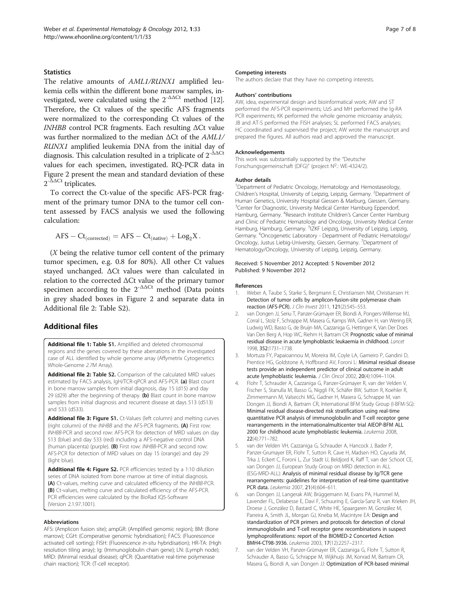#### <span id="page-6-0"></span>**Statistics**

The relative amounts of  $AML1/RUNXI$  amplified leukemia cells within the different bone marrow samples, investigated, were calculated using the  $2^{-\Delta\Delta Ct}$  method [[12](#page-7-0)]. Therefore, the Ct values of the specific AFS fragments were normalized to the corresponding Ct values of the INHBB control PCR fragments. Each resulting ΔCt value was further normalized to the median ΔCt of the AML1/ RUNX1 amplified leukemia DNA from the initial day of diagnosis. This calculation resulted in a triplicate of  $2^{-\Delta\Delta Ct}$ values for each specimen, investigated. RQ-PCR data in Figure [2](#page-2-0) present the mean and standard deviation of these  $2^{-\Delta\Delta Ct}$  triplicates.

To correct the Ct-value of the specific AFS-PCR fragment of the primary tumor DNA to the tumor cell content assessed by FACS analysis we used the following calculation:

 $\text{AFS} - \text{Ct}_{\text{(corrected)}} = \text{AFS} - \text{Ct}_{\text{(native)}} + \text{Log}_2 X.$ 

(X being the relative tumor cell content of the primary tumor specimen, e.g. 0.8 for 80%). All other Ct values stayed unchanged. ΔCt values were than calculated in relation to the corrected ΔCt value of the primary tumor specimen according to the  $2^{-\Delta\Delta Ct}$  method (Data points in grey shaded boxes in Figure [2](#page-2-0) and separate data in Additional file 2: Table S2).

## Additional files

[Additional file 1:](http://www.biomedcentral.com/content/supplementary/2162-3619-1-33-S1.pdf) Table S1. Amplified and deleted chromosomal regions and the genes covered by these aberrations in the investigated case of ALL identified by whole genome array (Affymetrix Cytogenetics Whole-Genome 2.7M Array).

[Additional file 2:](http://www.biomedcentral.com/content/supplementary/2162-3619-1-33-S2.pdf) Table S2. Comparison of the calculated MRD values estimated by FACS analysis, IgH/TCR-qPCR and AFS-PCR. (a) Blast count in bone marrow samples from initial diagnosis, day 15 (d15) and day 29 (d29) after the beginning of therapy.  $(b)$  Blast count in bone marrow samples from initial diagnosis and recurrent disease at days 513 (d513) and 533 (d533).

[Additional file 3:](http://www.biomedcentral.com/content/supplementary/2162-3619-1-33-S3.pdf) Figure S1. Ct-Values (left column) and melting curves (right column) of the INHBB and the AFS-PCR fragments. (A) First row: INHBB-PCR and second row: AFS-PCR for detection of MRD values on day 513 (blue) and day 533 (red) including a AFS-negative control DNA (human placenta) (purple). (B) First row: INHBB-PCR and second row: AFS-PCR for detection of MRD values on day 15 (orange) and day 29 (light blue).

[Additional file 4:](http://www.biomedcentral.com/content/supplementary/2162-3619-1-33-S4.pdf) Figure S2. PCR efficiencies tested by a 1:10 dilution series of DNA isolated from bone marrow at time of initial diagnosis. (A) Ct-values, melting curve and calculated efficiency of the INHBB-PCR. (B) Ct-values, melting curve and calculated efficiency of the AFS-PCR. PCR efficiencies were calculated by the BioRad IQ5-Software (Version 2.1.97.1001).

#### Abbreviations

AFS: (Amplicon fusion site); ampGR: (Amplified genomic region); BM: (Bone marrow); CGH: (Comperative genomic hybridisation); FACS: (Fluorescence activated cell sorting); FISH: (Fluorescence in-situ hybridisation); HR-TA: (High resolution tiling array); Ig: (Immunoglobulin chain gene); LN: (Lymph node); MRD: (Minimal residual disease); qPCR: (Quantitative real-time polymerase chain reaction); TCR: (T-cell receptor).

#### Competing interests

The authors declare that they have no competing interests.

#### Authors' contributions

AW, idea, experimental design and bioinformatical work; AW and ST performed the AFS-PCR experiments; UzS and MH performed the Ig-RA PCR experiments; KK performed the whole genome microarray analysis; JB and AT-S performed the FISH analyses; SL performed FACS analyses; HC coordinated and supervised the project; AW wrote the manuscript and prepared the figures. All authors read and approved the manuscript.

#### Acknowledgements

This work was substantially supported by the "Deutsche Forschungsgemeinschaft (DFG)" (project Nº .: WE-4324/2)

#### Author details

<sup>1</sup>Department of Pediatric Oncology, Hematology and Hemostaseology Children's Hospital, University of Leipzig, Leipzig, Germany. <sup>2</sup>Department of Human Genetics, University Hospital Giessen & Marburg, Giessen, Germany. <sup>3</sup> Center for Diagnostic, University Medical Center Hamburg Eppendorf Hamburg, Germany. <sup>4</sup> Research Institute Children's Cancer Center Hamburg and Clinic of Pediatric Hematology and Oncology, University Medical Center Hamburg, Hamburg, Germany. <sup>5</sup>IZKF Leipzig, University of Leipzig, Leipzig, Germany. <sup>6</sup>Oncogenetic Laboratory - Department of Pediatric Hematology/ Oncology, Justus Liebig-University, Giessen, Germany. <sup>7</sup>Department of Hematology/Oncology, University of Leipzig, Leipzig, Germany.

#### Received: 5 November 2012 Accepted: 5 November 2012 Published: 9 November 2012

#### References

- 1. Weber A, Taube S, Starke S, Bergmann E, Christiansen NM, Christiansen H: Detection of tumor cells by amplicon-fusion-site polymerase chain reaction (AFS-PCR). J Clin Invest 2011, 121(2):545–553.
- 2. van Dongen JJ, Seriu T, Panzer-Grümayer ER, Biondi A, Pongers-Willemse MJ, Corral L, Stolz F, Schrappe M, Masera G, Kamps WA, Gadner H, van Wering ER, Ludwig WD, Basso G, de Bruijn MA, Cazzaniga G, Hettinger K, Van Der Does Van Den Berg A, Hop WC, Riehm H, Bartram CR: Prognostic value of minimal residual disease in acute lymphoblastic leukaemia in childhood. Lancet 1998, 352:1731–1738.
- 3. Mortuza FY, Papaioannou M, Moreira IM, Coyle LA, Gameiro P, Gandini D, Prentice HG, Goldstone A, Hoffbrand AV, Foroni L: Minimal residual disease tests provide an independent predictor of clinical outcome in adult acute lymphoblastic leukemia. J Clin Oncol 2002, 20(4):1094–1104.
- 4. Flohr T, Schrauder A, Cazzaniga G, Panzer-Grümayer R, van der Velden V, Fischer S, Stanulla M, Basso G, Niggli FK, Schäfer BW, Sutton R, Koehler R, Zimmermann M, Valsecchi MG, Gadner H, Masera G, Schrappe M, van Dongen JJ, Biondi A, Bartram CR, International BFM Study Group (I-BFM-SG): Minimal residual disease-directed risk stratification using real-time quantitative PCR analysis of immunoglobulin and T-cell receptor gene rearrangements in the internationalmulticenter trial AIEOP-BFM ALL 2000 for childhood acute lymphoblastic leukemia. Leukemia 2008, 22(4):771–782.
- 5. van der Velden VH, Cazzaniga G, Schrauder A, Hancock J, Bader P, Panzer-Grumayer ER, Flohr T, Sutton R, Cave H, Madsen HO, Cayuela JM, Trka J, Eckert C, Foroni L, Zur Stadt U, Beldjord K, Raff T, van der Schoot CE, van Dongen JJ, European Study Group on MRD detection in ALL (ESG-MRD-ALL): Analysis of minimal residual disease by Ig/TCR gene rearrangements: guidelines for interpretation of real-time quantitative PCR data. Leukemia 2007, 21(4):604–611.
- 6. van Dongen JJ, Langerak AW, Brüggemann M, Evans PA, Hummel M, Lavender FL, Delabesse E, Davi F, Schuuring E, García-Sanz R, van Krieken JH, Droese J, González D, Bastard C, White HE, Spaargaren M, González M, Parreira A, Smith JL, Morgan GJ, Kneba M, Macintyre EA: Design and standardization of PCR primers and protocols for detection of clonal immunoglobulin and T-cell receptor gene recombinations in suspect lymphoproliferations: report of the BIOMED-2 Concerted Action BMH4-CT98-3936. Leukemia 2003, 17(12):2257–2317.
- 7. van der Velden VH, Panzer-Grümayer ER, Cazzaniga G, Flohr T, Sutton R, Schrauder A, Basso G, Schrappe M, Wijkhuijs JM, Konrad M, Bartram CR, Masera G, Biondi A, van Dongen JJ: Optimization of PCR-based minimal